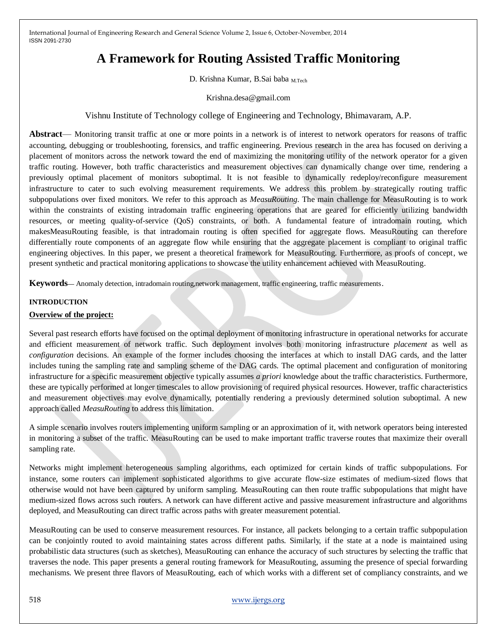# **A Framework for Routing Assisted Traffic Monitoring**

D. Krishna Kumar, B.Sai baba M.Tech

Krishna.desa@gmail.com

Vishnu Institute of Technology college of Engineering and Technology, Bhimavaram, A.P.

**Abstract**— Monitoring transit traffic at one or more points in a network is of interest to network operators for reasons of traffic accounting, debugging or troubleshooting, forensics, and traffic engineering. Previous research in the area has focused on deriving a placement of monitors across the network toward the end of maximizing the monitoring utility of the network operator for a given traffic routing. However, both traffic characteristics and measurement objectives can dynamically change over time, rendering a previously optimal placement of monitors suboptimal. It is not feasible to dynamically redeploy/reconfigure measurement infrastructure to cater to such evolving measurement requirements. We address this problem by strategically routing traffic subpopulations over fixed monitors. We refer to this approach as *MeasuRouting*. The main challenge for MeasuRouting is to work within the constraints of existing intradomain traffic engineering operations that are geared for efficiently utilizing bandwidth resources, or meeting quality-of-service (QoS) constraints, or both. A fundamental feature of intradomain routing, which makesMeasuRouting feasible, is that intradomain routing is often specified for aggregate flows. MeasuRouting can therefore differentially route components of an aggregate flow while ensuring that the aggregate placement is compliant to original traffic engineering objectives. In this paper, we present a theoretical framework for MeasuRouting. Furthermore, as proofs of concept, we present synthetic and practical monitoring applications to showcase the utility enhancement achieved with MeasuRouting.

**Keywords—** Anomaly detection, intradomain routing,network management, traffic engineering, traffic measurements.

# **INTRODUCTION**

# **Overview of the project:**

Several past research efforts have focused on the optimal deployment of monitoring infrastructure in operational networks for accurate and efficient measurement of network traffic. Such deployment involves both monitoring infrastructure *placement* as well as *configuration* decisions. An example of the former includes choosing the interfaces at which to install DAG cards, and the latter includes tuning the sampling rate and sampling scheme of the DAG cards. The optimal placement and configuration of monitoring infrastructure for a specific measurement objective typically assumes *a priori* knowledge about the traffic characteristics. Furthermore, these are typically performed at longer timescales to allow provisioning of required physical resources. However, traffic characteristics and measurement objectives may evolve dynamically, potentially rendering a previously determined solution suboptimal. A new approach called *MeasuRouting* to address this limitation.

A simple scenario involves routers implementing uniform sampling or an approximation of it, with network operators being interested in monitoring a subset of the traffic. MeasuRouting can be used to make important traffic traverse routes that maximize their overall sampling rate.

Networks might implement heterogeneous sampling algorithms, each optimized for certain kinds of traffic subpopulations. For instance, some routers can implement sophisticated algorithms to give accurate flow-size estimates of medium-sized flows that otherwise would not have been captured by uniform sampling. MeasuRouting can then route traffic subpopulations that might have medium-sized flows across such routers. A network can have different active and passive measurement infrastructure and algorithms deployed, and MeasuRouting can direct traffic across paths with greater measurement potential.

MeasuRouting can be used to conserve measurement resources. For instance, all packets belonging to a certain traffic subpopulation can be conjointly routed to avoid maintaining states across different paths. Similarly, if the state at a node is maintained using probabilistic data structures (such as sketches), MeasuRouting can enhance the accuracy of such structures by selecting the traffic that traverses the node. This paper presents a general routing framework for MeasuRouting, assuming the presence of special forwarding mechanisms. We present three flavors of MeasuRouting, each of which works with a different set of compliancy constraints, and we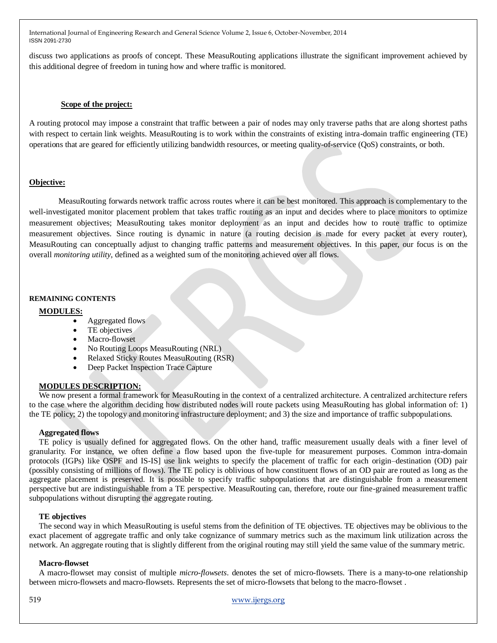discuss two applications as proofs of concept. These MeasuRouting applications illustrate the significant improvement achieved by this additional degree of freedom in tuning how and where traffic is monitored.

#### **Scope of the project:**

A routing protocol may impose a constraint that traffic between a pair of nodes may only traverse paths that are along shortest paths with respect to certain link weights. MeasuRouting is to work within the constraints of existing intra-domain traffic engineering (TE) operations that are geared for efficiently utilizing bandwidth resources, or meeting quality-of-service (QoS) constraints, or both.

# **Objective:**

MeasuRouting forwards network traffic across routes where it can be best monitored. This approach is complementary to the well-investigated monitor placement problem that takes traffic routing as an input and decides where to place monitors to optimize measurement objectives; MeasuRouting takes monitor deployment as an input and decides how to route traffic to optimize measurement objectives. Since routing is dynamic in nature (a routing decision is made for every packet at every router), MeasuRouting can conceptually adjust to changing traffic patterns and measurement objectives. In this paper, our focus is on the overall *monitoring utility*, defined as a weighted sum of the monitoring achieved over all flows.

# **REMAINING CONTENTS**

#### **MODULES:**

- Aggregated flows
- TE objectives
- Macro-flowset
- No Routing Loops MeasuRouting (NRL)
- Relaxed Sticky Routes MeasuRouting (RSR)
- Deep Packet Inspection Trace Capture

#### **MODULES DESCRIPTION:**

We now present a formal framework for MeasuRouting in the context of a centralized architecture. A centralized architecture refers to the case where the algorithm deciding how distributed nodes will route packets using MeasuRouting has global information of: 1) the TE policy; 2) the topology and monitoring infrastructure deployment; and 3) the size and importance of traffic subpopulations.

#### **Aggregated flows**

TE policy is usually defined for aggregated flows. On the other hand, traffic measurement usually deals with a finer level of granularity. For instance, we often define a flow based upon the five-tuple for measurement purposes. Common intra-domain protocols (IGPs) like OSPF and IS-IS] use link weights to specify the placement of traffic for each origin–destination (OD) pair (possibly consisting of millions of flows). The TE policy is oblivious of how constituent flows of an OD pair are routed as long as the aggregate placement is preserved. It is possible to specify traffic subpopulations that are distinguishable from a measurement perspective but are indistinguishable from a TE perspective. MeasuRouting can, therefore, route our fine-grained measurement traffic subpopulations without disrupting the aggregate routing.

#### **TE objectives**

The second way in which MeasuRouting is useful stems from the definition of TE objectives. TE objectives may be oblivious to the exact placement of aggregate traffic and only take cognizance of summary metrics such as the maximum link utilization across the network. An aggregate routing that is slightly different from the original routing may still yield the same value of the summary metric.

#### **Macro-flowset**

A macro-flowset may consist of multiple *micro-flowsets*. denotes the set of micro-flowsets. There is a many-to-one relationship between micro-flowsets and macro-flowsets. Represents the set of micro-flowsets that belong to the macro-flowset .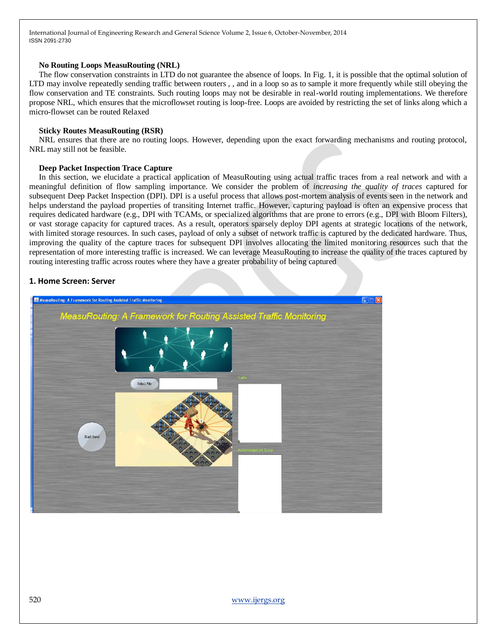#### **No Routing Loops MeasuRouting (NRL)**

The flow conservation constraints in LTD do not guarantee the absence of loops. In Fig. 1, it is possible that the optimal solution of LTD may involve repeatedly sending traffic between routers , , and in a loop so as to sample it more frequently while still obeying the flow conservation and TE constraints. Such routing loops may not be desirable in real-world routing implementations. We therefore propose NRL, which ensures that the microflowset routing is loop-free. Loops are avoided by restricting the set of links along which a micro-flowset can be routed Relaxed

#### **Sticky Routes MeasuRouting (RSR)**

NRL ensures that there are no routing loops. However, depending upon the exact forwarding mechanisms and routing protocol, NRL may still not be feasible.

#### **Deep Packet Inspection Trace Capture**

In this section, we elucidate a practical application of MeasuRouting using actual traffic traces from a real network and with a meaningful definition of flow sampling importance. We consider the problem of *increasing the quality of traces* captured for subsequent Deep Packet Inspection (DPI). DPI is a useful process that allows post-mortem analysis of events seen in the network and helps understand the payload properties of transiting Internet traffic. However, capturing payload is often an expensive process that requires dedicated hardware (e.g., DPI with TCAMs, or specialized algorithms that are prone to errors (e.g., DPI with Bloom Filters), or vast storage capacity for captured traces. As a result, operators sparsely deploy DPI agents at strategic locations of the network, with limited storage resources. In such cases, payload of only a subset of network traffic is captured by the dedicated hardware. Thus, improving the quality of the capture traces for subsequent DPI involves allocating the limited monitoring resources such that the representation of more interesting traffic is increased. We can leverage MeasuRouting to increase the quality of the traces captured by routing interesting traffic across routes where they have a greater probability of being captured

# **1. Home Screen: Server**

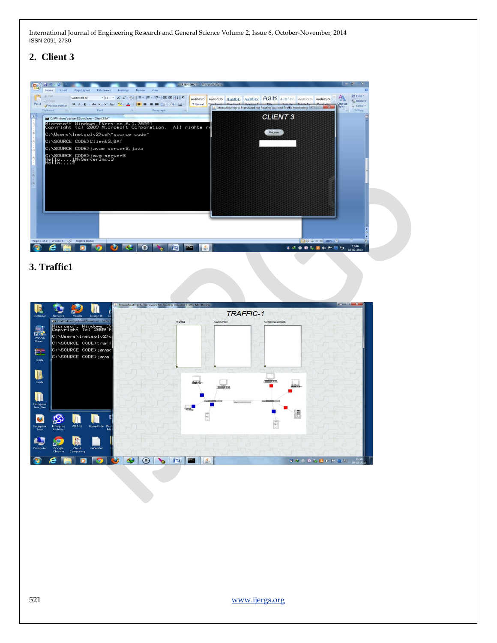# **2. Client 3**



# **3. Traffic1**

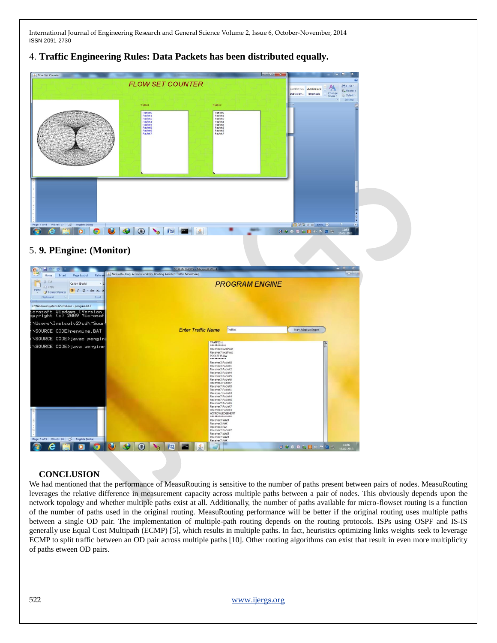4. **Traffic Engineering Rules: Data Packets has been distributed equally.**



# 5. **9. PEngine: (Monitor)**

| $-9.5$<br>(5)                                                                                                                         | <b>SCREEN SHOTS - Microsoft Word</b>                                                                                                                                                                                                                                                                                                                                                                                                                                                                                                                                                          |                       | $-10$<br>$\mathbf x$ |
|---------------------------------------------------------------------------------------------------------------------------------------|-----------------------------------------------------------------------------------------------------------------------------------------------------------------------------------------------------------------------------------------------------------------------------------------------------------------------------------------------------------------------------------------------------------------------------------------------------------------------------------------------------------------------------------------------------------------------------------------------|-----------------------|----------------------|
| Referent<br>Home<br>Insert<br>Page Layout                                                                                             | MeasuRouting: A Framework for Routing Assisted Traffic Monitoring                                                                                                                                                                                                                                                                                                                                                                                                                                                                                                                             |                       | <b>CONTRACTOR</b>    |
| & Cut<br>Calibri (Body)<br>$-11$<br><b>Copy</b><br>Paste<br>$B$ $I$ $U$ $\cdot$ abe $X$ ,<br>Format Painter<br>应<br>Clipboard<br>Font | <b>PROGRAM ENGINE</b>                                                                                                                                                                                                                                                                                                                                                                                                                                                                                                                                                                         |                       |                      |
| C:\Windows\system32\cmd.exe - pengine.BAT                                                                                             |                                                                                                                                                                                                                                                                                                                                                                                                                                                                                                                                                                                               |                       |                      |
| icrosoft Windows [Version<br>ppyright (c) 2009 Microsof                                                                               |                                                                                                                                                                                                                                                                                                                                                                                                                                                                                                                                                                                               |                       |                      |
| \Users\Inetsolv2>cd\"Sour                                                                                                             | Traffic1                                                                                                                                                                                                                                                                                                                                                                                                                                                                                                                                                                                      | Start Adaptive Engine |                      |
| \SOURCE CODE>pengine.BAT                                                                                                              | <b>Enter Traffic Name</b>                                                                                                                                                                                                                                                                                                                                                                                                                                                                                                                                                                     |                       |                      |
| \SOURCE CODE>javac pengin                                                                                                             | TRAFFIC-1                                                                                                                                                                                                                                                                                                                                                                                                                                                                                                                                                                                     |                       |                      |
| \SOURCE CODE>java pengine<br>∾<br>English (India)<br>Page: 5 of 5 Words: 40                                                           | ***********<br>Receiver3:localhost<br>Receiver7:localhost<br>POCKET FLOW<br>***********<br>Receiver3:Packet0<br>Receiver3:Packet1<br>Receiver3:Packet2<br>Receiver3:Packet4<br>Receiver3:Packet5<br>Receiver3:Packet6<br>Receiver3:Packet7<br>Receiver7:Packet0<br>Receiver7:Packet1<br>Receiver7:Packet3<br>Receiver7:Packet4<br>Receiver7:Packet5<br>Receiver7:Packet6<br>Receiver7:Packet7<br>Receiver3:Packet3<br><b>ACKNOWLEDGEMENT</b><br>***************<br>Receiver3:WAIT<br>Receiver3:NAK<br>Receiver3:PAK<br>Receiver7:Packet2<br>Receiver7:WAIT<br>Receiver7:WAIT<br>Receiver7:NAK |                       |                      |
|                                                                                                                                       | 暦<br>Ω<br>$C13 -$                                                                                                                                                                                                                                                                                                                                                                                                                                                                                                                                                                             | Uvenulin Da           | 11:56<br>10-02-2013  |

# **CONCLUSION**

We had mentioned that the performance of MeasuRouting is sensitive to the number of paths present between pairs of nodes. MeasuRouting leverages the relative difference in measurement capacity across multiple paths between a pair of nodes. This obviously depends upon the network topology and whether multiple paths exist at all. Additionally, the number of paths available for micro-flowset routing is a function of the number of paths used in the original routing. MeasuRouting performance will be better if the original routing uses multiple paths between a single OD pair. The implementation of multiple-path routing depends on the routing protocols. ISPs using OSPF and IS-IS generally use Equal Cost Multipath (ECMP) [5], which results in multiple paths. In fact, heuristics optimizing links weights seek to leverage ECMP to split traffic between an OD pair across multiple paths [10]. Other routing algorithms can exist that result in even more multiplicity of paths etween OD pairs.